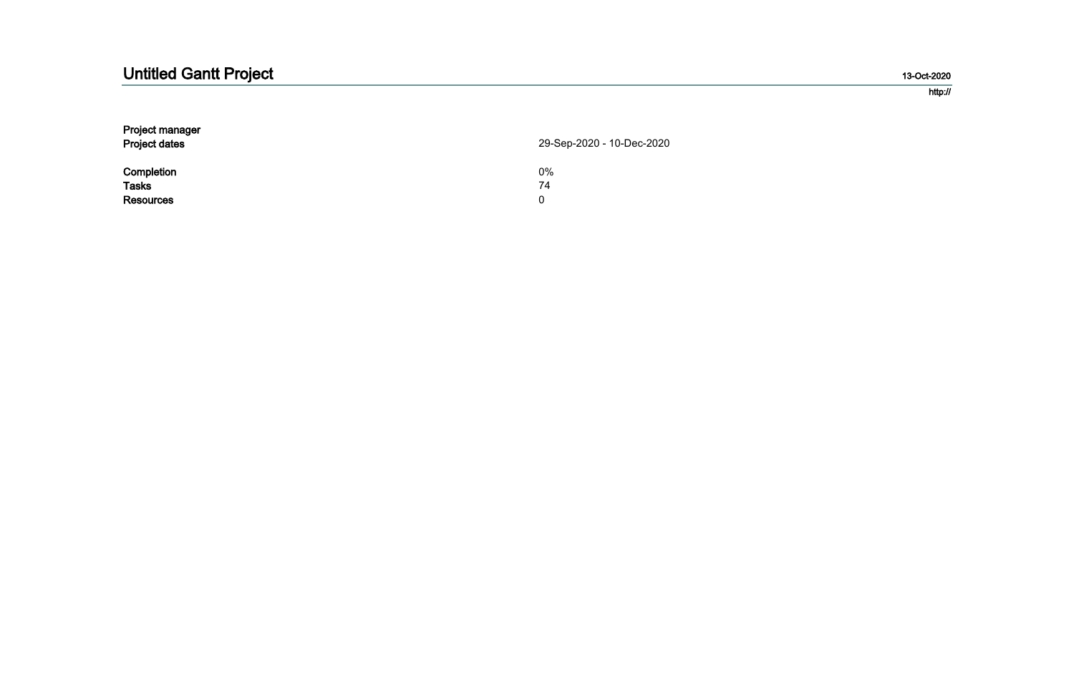#### 13-Oct-2020

#### http://

| 29-Sep-2020 - 10-Dec-2020 |
|---------------------------|
| 0%                        |
| 74                        |
| 0                         |
|                           |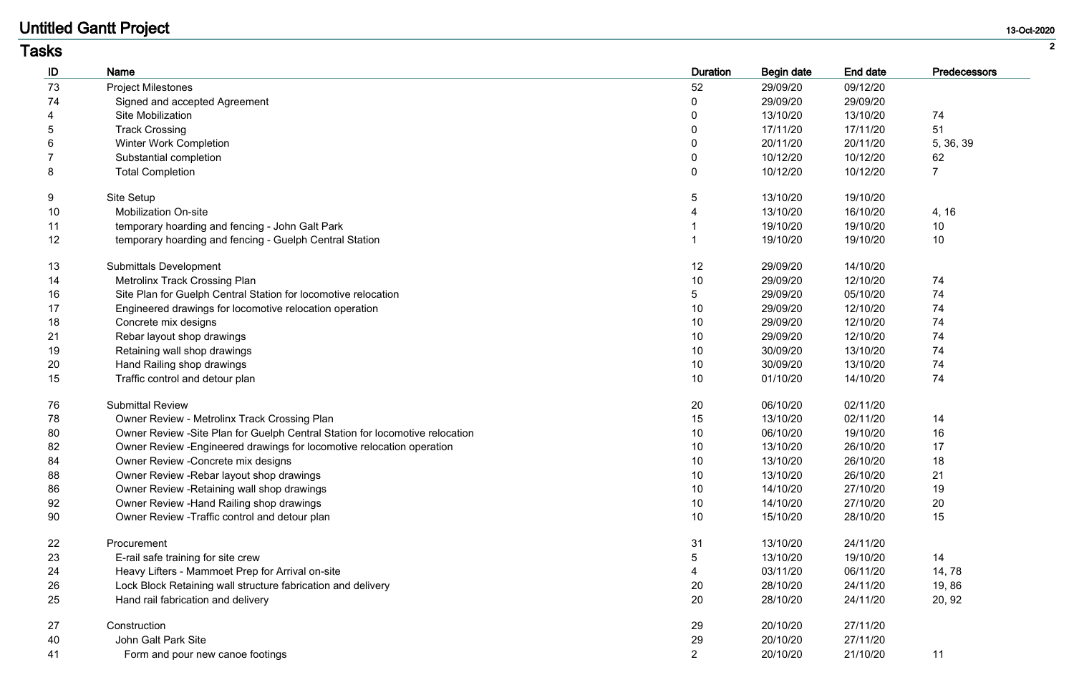| asks |                                                                               |                 |                   |                 |                |
|------|-------------------------------------------------------------------------------|-----------------|-------------------|-----------------|----------------|
| ID   | Name                                                                          | <b>Duration</b> | <b>Begin date</b> | <b>End date</b> | Predecessors   |
| 73   | <b>Project Milestones</b>                                                     | 52              | 29/09/20          | 09/12/20        |                |
| 74   | Signed and accepted Agreement                                                 |                 | 29/09/20          | 29/09/20        |                |
|      | <b>Site Mobilization</b>                                                      | $\mathbf 0$     | 13/10/20          | 13/10/20        | 74             |
|      | <b>Track Crossing</b>                                                         |                 | 17/11/20          | 17/11/20        | 51             |
|      | <b>Winter Work Completion</b>                                                 |                 | 20/11/20          | 20/11/20        | 5, 36, 39      |
|      | Substantial completion                                                        | $\mathbf 0$     | 10/12/20          | 10/12/20        | 62             |
| 8    | <b>Total Completion</b>                                                       | $\mathbf 0$     | 10/12/20          | 10/12/20        | $\overline{7}$ |
|      | Site Setup                                                                    | 5               | 13/10/20          | 19/10/20        |                |
| 10   | <b>Mobilization On-site</b>                                                   |                 | 13/10/20          | 16/10/20        | 4, 16          |
| 11   | temporary hoarding and fencing - John Galt Park                               |                 | 19/10/20          | 19/10/20        | 10             |
| 12   | temporary hoarding and fencing - Guelph Central Station                       |                 | 19/10/20          | 19/10/20        | 10             |
| 13   | <b>Submittals Development</b>                                                 | 12              | 29/09/20          | 14/10/20        |                |
| 14   | <b>Metrolinx Track Crossing Plan</b>                                          | 10              | 29/09/20          | 12/10/20        | 74             |
| 16   | Site Plan for Guelph Central Station for locomotive relocation                | 5               | 29/09/20          | 05/10/20        | 74             |
| 17   | Engineered drawings for locomotive relocation operation                       | 10              | 29/09/20          | 12/10/20        | 74             |
| 18   | Concrete mix designs                                                          | 10              | 29/09/20          | 12/10/20        | 74             |
| 21   | Rebar layout shop drawings                                                    | 10              | 29/09/20          | 12/10/20        | 74             |
| 19   | Retaining wall shop drawings                                                  | 10              | 30/09/20          | 13/10/20        | 74             |
| 20   | Hand Railing shop drawings                                                    | 10              | 30/09/20          | 13/10/20        | 74             |
| 15   | Traffic control and detour plan                                               | 10              | 01/10/20          | 14/10/20        | 74             |
| 76   | <b>Submittal Review</b>                                                       | 20              | 06/10/20          | 02/11/20        |                |
| 78   | Owner Review - Metrolinx Track Crossing Plan                                  | 15              | 13/10/20          | 02/11/20        | 14             |
| 80   | Owner Review - Site Plan for Guelph Central Station for locomotive relocation | 10              | 06/10/20          | 19/10/20        | 16             |
| 82   | Owner Review - Engineered drawings for locomotive relocation operation        | 10              | 13/10/20          | 26/10/20        | 17             |
| 84   | Owner Review - Concrete mix designs                                           | 10              | 13/10/20          | 26/10/20        | 18             |
| 88   | Owner Review - Rebar layout shop drawings                                     | 10              | 13/10/20          | 26/10/20        | 21             |
| 86   | Owner Review - Retaining wall shop drawings                                   | 10              | 14/10/20          | 27/10/20        | 19             |
| 92   | Owner Review - Hand Railing shop drawings                                     | 10              | 14/10/20          | 27/10/20        | 20             |
| 90   | Owner Review - Traffic control and detour plan                                | 10              | 15/10/20          | 28/10/20        | 15             |
| 22   | Procurement                                                                   | 31              | 13/10/20          | 24/11/20        |                |
| 23   | E-rail safe training for site crew                                            | 5               | 13/10/20          | 19/10/20        | 14             |
| 24   | Heavy Lifters - Mammoet Prep for Arrival on-site                              |                 | 03/11/20          | 06/11/20        | 14, 78         |
| 26   | Lock Block Retaining wall structure fabrication and delivery                  | 20              | 28/10/20          | 24/11/20        | 19,86          |
| 25   | Hand rail fabrication and delivery                                            | 20              | 28/10/20          | 24/11/20        | 20, 92         |
| 27   | Construction                                                                  | 29              | 20/10/20          | 27/11/20        |                |
| 40   | John Galt Park Site                                                           | 29              | 20/10/20          | 27/11/20        |                |
| 41   | Form and pour new canoe footings                                              | 2               | 20/10/20          | 21/10/20        | 11             |

## **Tasks**

#### 13-Oct-2020

| I<br>٦<br>v |
|-------------|
|             |
|             |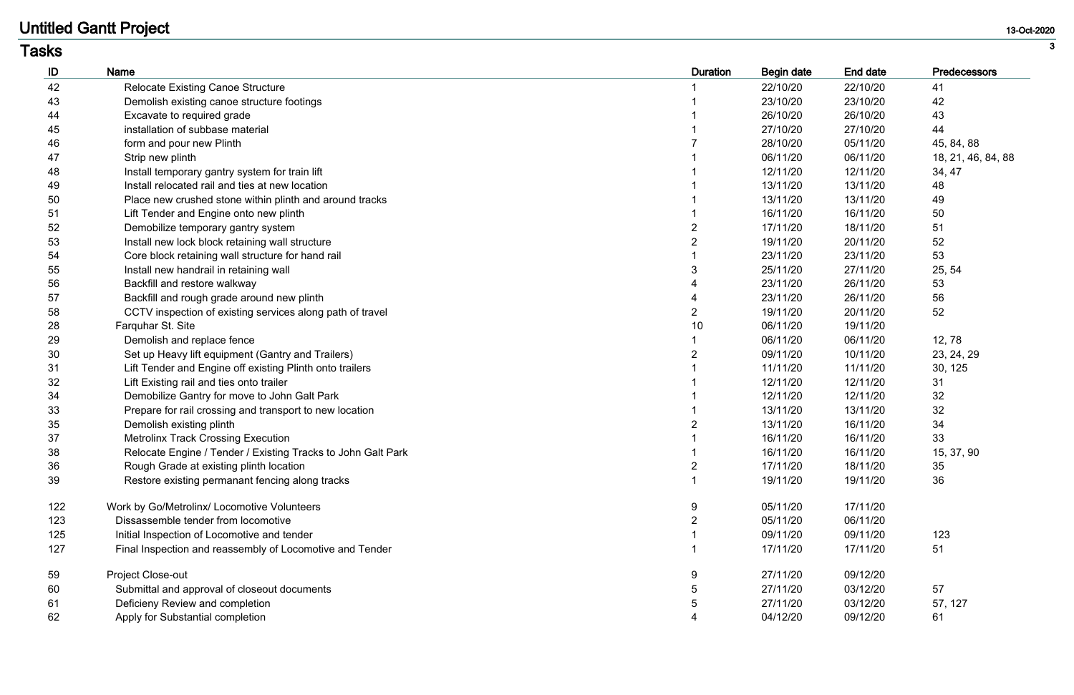| ID  | <b>Name</b>                                                  | <b>Duration</b> | <b>Begin date</b> | End date | <b>Predecessors</b> |
|-----|--------------------------------------------------------------|-----------------|-------------------|----------|---------------------|
| 42  | <b>Relocate Existing Canoe Structure</b>                     |                 | 22/10/20          | 22/10/20 | 41                  |
| 43  | Demolish existing canoe structure footings                   |                 | 23/10/20          | 23/10/20 | 42                  |
| 44  | Excavate to required grade                                   |                 | 26/10/20          | 26/10/20 | 43                  |
| 45  | installation of subbase material                             |                 | 27/10/20          | 27/10/20 | 44                  |
| 46  | form and pour new Plinth                                     |                 | 28/10/20          | 05/11/20 | 45, 84, 88          |
| 47  | Strip new plinth                                             |                 | 06/11/20          | 06/11/20 | 18, 21, 46, 84, 88  |
| 48  | Install temporary gantry system for train lift               |                 | 12/11/20          | 12/11/20 | 34, 47              |
| 49  | Install relocated rail and ties at new location              |                 | 13/11/20          | 13/11/20 | 48                  |
| 50  | Place new crushed stone within plinth and around tracks      |                 | 13/11/20          | 13/11/20 | 49                  |
| 51  | Lift Tender and Engine onto new plinth                       |                 | 16/11/20          | 16/11/20 | 50                  |
| 52  | Demobilize temporary gantry system                           |                 | 17/11/20          | 18/11/20 | 51                  |
| 53  | Install new lock block retaining wall structure              |                 | 19/11/20          | 20/11/20 | 52                  |
| 54  | Core block retaining wall structure for hand rail            |                 | 23/11/20          | 23/11/20 | 53                  |
| 55  | Install new handrail in retaining wall                       |                 | 25/11/20          | 27/11/20 | 25, 54              |
| 56  | Backfill and restore walkway                                 |                 | 23/11/20          | 26/11/20 | 53                  |
| 57  | Backfill and rough grade around new plinth                   |                 | 23/11/20          | 26/11/20 | 56                  |
| 58  | CCTV inspection of existing services along path of travel    |                 | 19/11/20          | 20/11/20 | 52                  |
| 28  | Farquhar St. Site                                            | 10              | 06/11/20          | 19/11/20 |                     |
| 29  | Demolish and replace fence                                   |                 | 06/11/20          | 06/11/20 | 12,78               |
| 30  | Set up Heavy lift equipment (Gantry and Trailers)            |                 | 09/11/20          | 10/11/20 | 23, 24, 29          |
| 31  | Lift Tender and Engine off existing Plinth onto trailers     |                 | 11/11/20          | 11/11/20 | 30, 125             |
| 32  | Lift Existing rail and ties onto trailer                     |                 | 12/11/20          | 12/11/20 | 31                  |
| 34  | Demobilize Gantry for move to John Galt Park                 |                 | 12/11/20          | 12/11/20 | 32                  |
| 33  | Prepare for rail crossing and transport to new location      |                 | 13/11/20          | 13/11/20 | 32                  |
| 35  | Demolish existing plinth                                     |                 | 13/11/20          | 16/11/20 | 34                  |
| 37  | <b>Metrolinx Track Crossing Execution</b>                    |                 | 16/11/20          | 16/11/20 | 33                  |
| 38  | Relocate Engine / Tender / Existing Tracks to John Galt Park |                 | 16/11/20          | 16/11/20 | 15, 37, 90          |
| 36  | Rough Grade at existing plinth location                      | $\overline{2}$  | 17/11/20          | 18/11/20 | 35                  |
| 39  | Restore existing permanant fencing along tracks              |                 | 19/11/20          | 19/11/20 | 36                  |
| 122 | Work by Go/Metrolinx/ Locomotive Volunteers                  | 9               | 05/11/20          | 17/11/20 |                     |
| 123 | Dissassemble tender from locomotive                          |                 | 05/11/20          | 06/11/20 |                     |
| 125 | Initial Inspection of Locomotive and tender                  |                 | 09/11/20          | 09/11/20 | 123                 |
| 127 | Final Inspection and reassembly of Locomotive and Tender     |                 | 17/11/20          | 17/11/20 | 51                  |
| 59  | <b>Project Close-out</b>                                     | 9               | 27/11/20          | 09/12/20 |                     |
| 60  | Submittal and approval of closeout documents                 |                 | 27/11/20          | 03/12/20 | 57                  |
| 61  | Deficieny Review and completion                              |                 | 27/11/20          | 03/12/20 | 57, 127             |
| 62  | Apply for Substantial completion                             |                 | 04/12/20          | 09/12/20 | 61                  |

### **Tasks**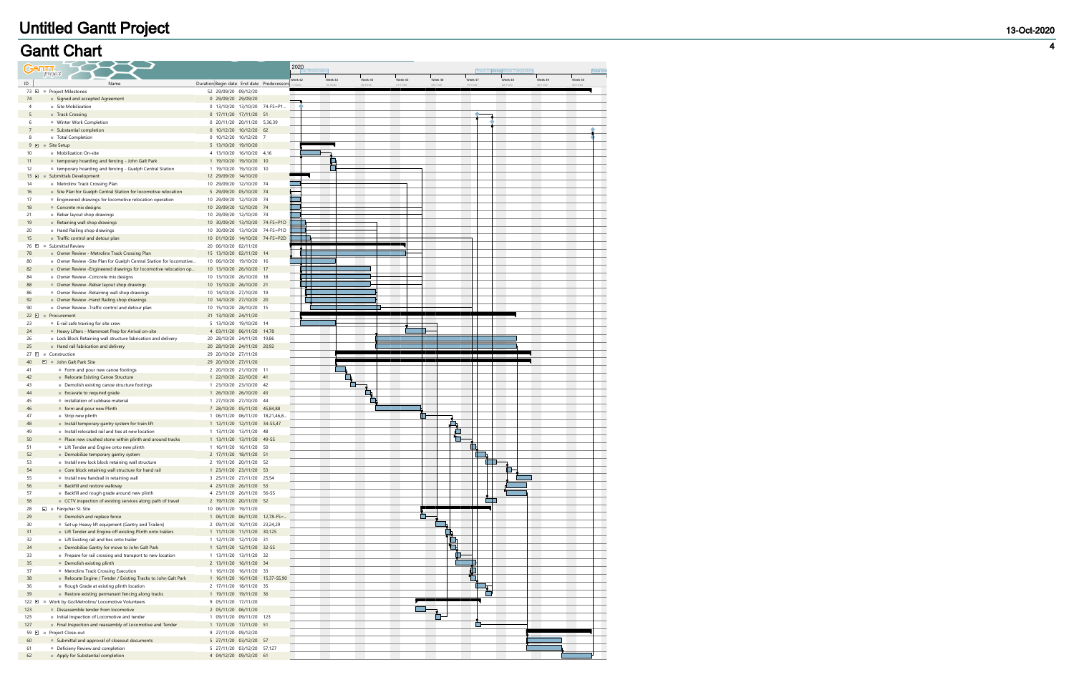# **Gantt Chart**

| <b>GARTT</b> <sub>project</sub> |                                                                                                                |                                                       |                    | 2020<br>Site Mobilization |         |          |         |                          |              | Track Crotisiter Work Completion |          | <b>Sobstift</b> |
|---------------------------------|----------------------------------------------------------------------------------------------------------------|-------------------------------------------------------|--------------------|---------------------------|---------|----------|---------|--------------------------|--------------|----------------------------------|----------|-----------------|
| ID                              | Name                                                                                                           | Duration Begin date End date Predecessors             |                    | Week 42                   | Week 43 | Week 44  | Week 45 | Week 46                  | .<br>Week 47 | Week 48                          | Week 49  | Week 50         |
| 73 日<br>$\circ$                 | Project Milestones                                                                                             | 52 29/09/20 09/12/20                                  |                    |                           |         | 25/10/20 | 01/11/2 | 08/11/20                 | 15/11/20     | 22/11/20                         | 29/11/20 | 06/12/20        |
| 74                              | • Signed and accepted Agreement                                                                                | 0 29/09/20 29/09/20                                   |                    |                           |         |          |         |                          |              |                                  |          |                 |
| 4                               | <sup>®</sup> Site Mobilization                                                                                 | 0 13/10/20 13/10/20 74-FS=P1                          |                    |                           |         |          |         |                          |              |                                  |          |                 |
| 5                               | • Track Crossing                                                                                               | 0 17/11/20 17/11/20 51                                |                    |                           |         |          |         |                          |              |                                  |          |                 |
| 6                               | <sup>®</sup> Winter Work Completion                                                                            | 0 20/11/20 20/11/20 5,36,39                           |                    |                           |         |          |         |                          |              |                                  |          |                 |
| $\overline{7}$<br>8             | • Substantial completion<br><sup>®</sup> Total Completion                                                      | 0 10/12/20 10/12/20 62<br>0 10/12/20 10/12/20 7       |                    |                           |         |          |         |                          |              |                                  |          |                 |
| $9$ $\Box$<br>$_{\odot}$        | Site Setup                                                                                                     | 5 13/10/20 19/10/20                                   |                    |                           |         |          |         |                          |              |                                  |          |                 |
| 10                              | <sup>®</sup> Mobilization On-site                                                                              | 16/10/20<br>4 13/10/20                                | 4,16               |                           |         |          |         |                          |              |                                  |          |                 |
| 11                              | <sup>®</sup> temporary hoarding and fencing - John Galt Park                                                   | 1 19/10/20 19/10/20                                   | 10                 |                           |         |          |         |                          |              |                                  |          |                 |
| 12                              | <sup>®</sup> temporary hoarding and fencing - Guelph Central Station                                           | 19/10/20 10<br>1 19/10/20                             |                    |                           |         |          |         |                          |              |                                  |          |                 |
| $13$ $\Box$<br>$\circ$          | <b>Submittals Development</b>                                                                                  | 12 29/09/20 14/10/20                                  |                    |                           |         |          |         |                          |              |                                  |          |                 |
| 14                              | <sup>®</sup> Metrolinx Track Crossing Plan                                                                     | 10 29/09/20<br>12/10/20 74                            |                    |                           |         |          |         |                          |              |                                  |          |                 |
| 16                              | • Site Plan for Guelph Central Station for locomotive relocation                                               | 5 29/09/20 05/10/20                                   | 74                 |                           |         |          |         |                          |              |                                  |          |                 |
| 17                              | <sup>®</sup> Engineered drawings for locomotive relocation operation                                           | 10 29/09/20<br>12/10/20 74<br>10 29/09/20 12/10/20 74 |                    |                           |         |          |         |                          |              |                                  |          |                 |
| 18<br>21                        | • Concrete mix designs<br>Rebar layout shop drawings                                                           | 12/10/20 74<br>10 29/09/20                            |                    |                           |         |          |         |                          |              |                                  |          |                 |
| 19                              | • Retaining wall shop drawings                                                                                 | 10 30/09/20 13/10/20 74-FS=P1D                        |                    |                           |         |          |         |                          |              |                                  |          |                 |
| 20                              | ● Hand Railing shop drawings                                                                                   | 13/10/20<br>10 30/09/20                               | $74-FS = P1D$      |                           |         |          |         |                          |              |                                  |          |                 |
| 15                              | • Traffic control and detour plan                                                                              | 10 01/10/20                                           | 14/10/20 74-FS=P2D |                           |         |          |         |                          |              |                                  |          |                 |
| 76 日<br>$\circ$                 | Submittal Review                                                                                               | 02/11/20<br>20 06/10/20                               |                    |                           |         |          |         |                          |              |                                  |          |                 |
| 78                              | <sup>®</sup> Owner Review - Metrolinx Track Crossing Plan                                                      | 02/11/20 14<br>15 13/10/20                            |                    |                           |         |          |         |                          |              |                                  |          |                 |
| 80                              | <sup>o</sup> Owner Review -Site Plan for Guelph Central Station for locomotive                                 | 10 06/10/20<br>19/10/20                               | - 16               | I                         |         |          |         |                          |              |                                  |          |                 |
| 82                              | • Owner Review - Engineered drawings for locomotive relocation op                                              | 10 13/10/20 26/10/20                                  | 17                 |                           |         |          |         |                          |              |                                  |          |                 |
| 84                              | · Owner Review -Concrete mix designs                                                                           | 10 13/10/20 26/10/20 18                               |                    |                           |         |          |         |                          |              |                                  |          |                 |
| 88<br>86                        | • Owner Review - Rebar layout shop drawings<br><sup>o</sup> Owner Review - Retaining wall shop drawings        | 10 13/10/20 26/10/20 21<br>10 14/10/20 27/10/20 19    |                    |                           |         |          |         |                          |              |                                  |          |                 |
| 92                              | • Owner Review - Hand Railing shop drawings                                                                    | 10 14/10/20 27/10/20 20                               |                    |                           |         |          |         |                          |              |                                  |          |                 |
| 90                              | · Owner Review - Traffic control and detour plan                                                               | 10 15/10/20 28/10/20 15                               |                    |                           |         |          |         |                          |              |                                  |          |                 |
| $22 \Box$                       | Procurement                                                                                                    | 24/11/20<br>31 13/10/20                               |                    |                           |         |          |         |                          |              |                                  |          |                 |
| 23                              | • E-rail safe training for site crew                                                                           | 5 13/10/20 19/10/20 14                                |                    |                           |         |          |         |                          |              |                                  |          |                 |
| 24                              | <sup>®</sup> Heavy Lifters - Mammoet Prep for Arrival on-site                                                  | 4 03/11/20<br>06/11/20                                | 14,78              |                           |         |          |         |                          |              |                                  |          |                 |
| 26                              | <sup>o</sup> Lock Block Retaining wall structure fabrication and delivery                                      | 20 28/10/20 24/11/20                                  | 19,86              |                           |         |          |         |                          |              |                                  |          |                 |
| 25                              | • Hand rail fabrication and delivery                                                                           | 20 28/10/20 24/11/20                                  | 20,92              |                           |         |          |         |                          |              |                                  |          |                 |
| $27 \square$<br>40              | • Construction<br>□ <b>John Galt Park Site</b>                                                                 | 29 20/10/20 27/11/20<br>29 20/10/20 27/11/20          |                    |                           |         |          |         |                          | $\mathbf{L}$ |                                  |          |                 |
| 41                              | • Form and pour new canoe footings                                                                             | 2 20/10/20 21/10/20 11                                |                    |                           |         |          |         |                          |              |                                  |          |                 |
| 42                              | • Relocate Existing Canoe Structure                                                                            | 1 22/10/20 22/10/20 41                                |                    |                           |         | $\Box$   |         |                          |              |                                  |          |                 |
| 43                              | • Demolish existing canoe structure footings                                                                   | 1 23/10/20 23/10/20 42                                |                    |                           |         |          |         |                          |              |                                  |          |                 |
| 44                              | • Excavate to required grade                                                                                   | 1 26/10/20 26/10/20 43                                |                    |                           |         | s,       |         |                          |              |                                  |          |                 |
| 45                              | · installation of subbase material                                                                             | 1 27/10/20 27/10/20 44                                |                    |                           |         |          |         |                          |              |                                  |          |                 |
| 46                              | • form and pour new Plinth                                                                                     | 7 28/10/20 05/11/20 45,84,88                          |                    |                           |         |          |         |                          |              |                                  |          |                 |
| 47                              | • Strip new plinth                                                                                             | 1 06/11/20 06/11/20                                   | 18,21,46,8         |                           |         |          |         |                          |              |                                  |          |                 |
| 48                              | · Install temporary gantry system for train lift                                                               | 1 12/11/20 12/11/20 34-SS,47                          | 48                 |                           |         |          |         | 主                        |              |                                  |          |                 |
| 49<br>50                        | · Install relocated rail and ties at new location<br>• Place new crushed stone within plinth and around tracks | 1 13/11/20 13/11/20<br>1 13/11/20 13/11/20 49-SS      |                    |                           |         |          |         | 切                        |              |                                  |          |                 |
| 51                              | • Lift Tender and Engine onto new plinth                                                                       | 1 16/11/20 16/11/20 50                                |                    |                           |         |          |         |                          |              |                                  |          |                 |
| 52                              | • Demobilize temporary gantry system                                                                           | 2 17/11/20 18/11/20 51                                |                    |                           |         |          |         |                          |              |                                  |          |                 |
| 53                              | <sup>®</sup> Install new lock block retaining wall structure                                                   | 2 19/11/20 20/11/20 52                                |                    |                           |         |          |         |                          |              |                                  |          |                 |
| 54                              | • Core block retaining wall structure for hand rail                                                            | 1 23/11/20 23/11/20 53                                |                    |                           |         |          |         |                          |              |                                  |          |                 |
| 55                              | · Install new handrail in retaining wall                                                                       | 3 25/11/20 27/11/20 25,54                             |                    |                           |         |          |         |                          |              |                                  |          |                 |
| 56                              | <b>Backfill and restore walkway</b>                                                                            | 4 23/11/20 26/11/20 53                                |                    |                           |         |          |         |                          |              |                                  |          |                 |
| 57                              | • Backfill and rough grade around new plinth                                                                   | 4 23/11/20 26/11/20 56-SS                             |                    |                           |         |          |         |                          |              |                                  |          |                 |
| 58                              | CCTV inspection of existing services along path of travel<br>$\Box$ • Farquhar St. Site                        | 2 19/11/20 20/11/20 52                                |                    |                           |         |          |         |                          |              |                                  |          |                 |
| 28<br>29                        | • Demolish and replace fence                                                                                   | 10 06/11/20 19/11/20<br>1 06/11/20 06/11/20 12,78-FS= |                    |                           |         |          |         | n                        |              |                                  |          |                 |
| 30                              | <sup>®</sup> Set up Heavy lift equipment (Gantry and Trailers)                                                 | 2 09/11/20 10/11/20 23,24,29                          |                    |                           |         |          |         |                          |              |                                  |          |                 |
| 31                              | • Lift Tender and Engine off existing Plinth onto trailers                                                     | 1 11/11/20 11/11/20 30,125                            |                    |                           |         |          |         |                          |              |                                  |          |                 |
| 32                              | • Lift Existing rail and ties onto trailer                                                                     | 1 12/11/20 12/11/20 31                                |                    |                           |         |          |         |                          |              |                                  |          |                 |
| 34                              | · Demobilize Gantry for move to John Galt Park                                                                 | 1 12/11/20 12/11/20 32-SS                             |                    |                           |         |          |         | Г                        |              |                                  |          |                 |
| 33                              | • Prepare for rail crossing and transport to new location                                                      | 1 13/11/20 13/11/20 32                                |                    |                           |         |          |         |                          |              |                                  |          |                 |
| 35                              | • Demolish existing plinth                                                                                     | 2 13/11/20 16/11/20 34                                |                    |                           |         |          |         |                          |              |                                  |          |                 |
| 37                              | <sup>®</sup> Metrolinx Track Crossing Execution                                                                | 1 16/11/20 16/11/20 33                                |                    |                           |         |          |         |                          | ╚            |                                  |          |                 |
| 38                              | Relocate Engine / Tender / Existing Tracks to John Galt Park                                                   | 1 16/11/20 16/11/20 15,37-SS,90                       |                    |                           |         |          |         |                          |              |                                  |          |                 |
| 36<br>39                        | • Rough Grade at existing plinth location<br>• Restore existing permanant fencing along tracks                 | 2 17/11/20 18/11/20 35<br>1 19/11/20 19/11/20 36      |                    |                           |         |          |         |                          | Ъ            |                                  |          |                 |
| 122 日<br>$\circ$                | Work by Go/Metrolinx/ Locomotive Volunteers                                                                    | 9 05/11/20 17/11/20                                   |                    |                           |         |          |         |                          |              |                                  |          |                 |
| 123                             | · Dissassemble tender from locomotive                                                                          | 2 05/11/20 06/11/20                                   |                    |                           |         |          |         | $\overline{\phantom{a}}$ |              |                                  |          |                 |
| 125                             | · Initial Inspection of Locomotive and tender                                                                  | 1 09/11/20 09/11/20 123                               |                    |                           |         |          |         | Ē-                       |              |                                  |          |                 |
| 127                             | • Final Inspection and reassembly of Locomotive and Tender                                                     | 1 17/11/20 17/11/20 51                                |                    |                           |         |          |         |                          | $\mathsf{L}$ |                                  |          |                 |
| 59 日<br>$\Theta$                | Project Close-out                                                                                              | 9 27/11/20 09/12/20                                   |                    |                           |         |          |         |                          |              |                                  |          |                 |
| 60                              | • Submittal and approval of closeout documents                                                                 | 5 27/11/20 03/12/20 57                                |                    |                           |         |          |         |                          |              |                                  |          |                 |
| 61                              | <sup>®</sup> Deficieny Review and completion                                                                   | 5 27/11/20 03/12/20 57,127                            |                    |                           |         |          |         |                          |              |                                  |          |                 |
| 62                              | • Apply for Substantial completion                                                                             | 4 04/12/20 09/12/20 61                                |                    |                           |         |          |         |                          |              |                                  |          |                 |